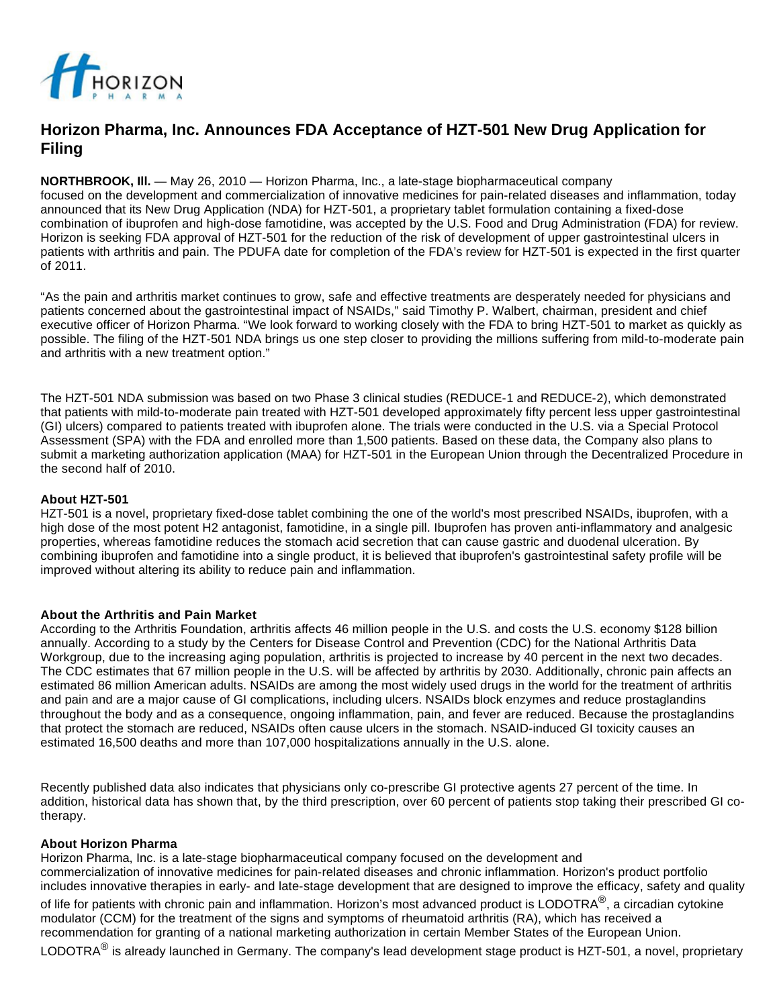

# **Horizon Pharma, Inc. Announces FDA Acceptance of HZT-501 New Drug Application for Filing**

**NORTHBROOK, Ill.** — May 26, 2010 — Horizon Pharma, Inc., a late-stage biopharmaceutical company focused on the development and commercialization of innovative medicines for pain-related diseases and inflammation, today announced that its New Drug Application (NDA) for HZT-501, a proprietary tablet formulation containing a fixed-dose combination of ibuprofen and high-dose famotidine, was accepted by the U.S. Food and Drug Administration (FDA) for review. Horizon is seeking FDA approval of HZT-501 for the reduction of the risk of development of upper gastrointestinal ulcers in patients with arthritis and pain. The PDUFA date for completion of the FDA's review for HZT-501 is expected in the first quarter of 2011.

"As the pain and arthritis market continues to grow, safe and effective treatments are desperately needed for physicians and patients concerned about the gastrointestinal impact of NSAIDs," said Timothy P. Walbert, chairman, president and chief executive officer of Horizon Pharma. "We look forward to working closely with the FDA to bring HZT-501 to market as quickly as possible. The filing of the HZT-501 NDA brings us one step closer to providing the millions suffering from mild-to-moderate pain and arthritis with a new treatment option."

The HZT-501 NDA submission was based on two Phase 3 clinical studies (REDUCE-1 and REDUCE-2), which demonstrated that patients with mild-to-moderate pain treated with HZT-501 developed approximately fifty percent less upper gastrointestinal (GI) ulcers) compared to patients treated with ibuprofen alone. The trials were conducted in the U.S. via a Special Protocol Assessment (SPA) with the FDA and enrolled more than 1,500 patients. Based on these data, the Company also plans to submit a marketing authorization application (MAA) for HZT-501 in the European Union through the Decentralized Procedure in the second half of 2010.

### **About HZT-501**

HZT-501 is a novel, proprietary fixed-dose tablet combining the one of the world's most prescribed NSAIDs, ibuprofen, with a high dose of the most potent H2 antagonist, famotidine, in a single pill. Ibuprofen has proven anti-inflammatory and analgesic properties, whereas famotidine reduces the stomach acid secretion that can cause gastric and duodenal ulceration. By combining ibuprofen and famotidine into a single product, it is believed that ibuprofen's gastrointestinal safety profile will be improved without altering its ability to reduce pain and inflammation.

## **About the Arthritis and Pain Market**

According to the Arthritis Foundation, arthritis affects 46 million people in the U.S. and costs the U.S. economy \$128 billion annually. According to a study by the Centers for Disease Control and Prevention (CDC) for the National Arthritis Data Workgroup, due to the increasing aging population, arthritis is projected to increase by 40 percent in the next two decades. The CDC estimates that 67 million people in the U.S. will be affected by arthritis by 2030. Additionally, chronic pain affects an estimated 86 million American adults. NSAIDs are among the most widely used drugs in the world for the treatment of arthritis and pain and are a major cause of GI complications, including ulcers. NSAIDs block enzymes and reduce prostaglandins throughout the body and as a consequence, ongoing inflammation, pain, and fever are reduced. Because the prostaglandins that protect the stomach are reduced, NSAIDs often cause ulcers in the stomach. NSAID-induced GI toxicity causes an estimated 16,500 deaths and more than 107,000 hospitalizations annually in the U.S. alone.

Recently published data also indicates that physicians only co-prescribe GI protective agents 27 percent of the time. In addition, historical data has shown that, by the third prescription, over 60 percent of patients stop taking their prescribed GI cotherapy.

#### **About Horizon Pharma**

Horizon Pharma, Inc. is a late-stage biopharmaceutical company focused on the development and commercialization of innovative medicines for pain-related diseases and chronic inflammation. Horizon's product portfolio includes innovative therapies in early- and late-stage development that are designed to improve the efficacy, safety and quality

of life for patients with chronic pain and inflammation. Horizon's most advanced product is LODOTRA<sup>®</sup>, a circadian cytokine modulator (CCM) for the treatment of the signs and symptoms of rheumatoid arthritis (RA), which has received a recommendation for granting of a national marketing authorization in certain Member States of the European Union.

LODOTRA<sup>®</sup> is already launched in Germany. The company's lead development stage product is HZT-501, a novel, proprietary